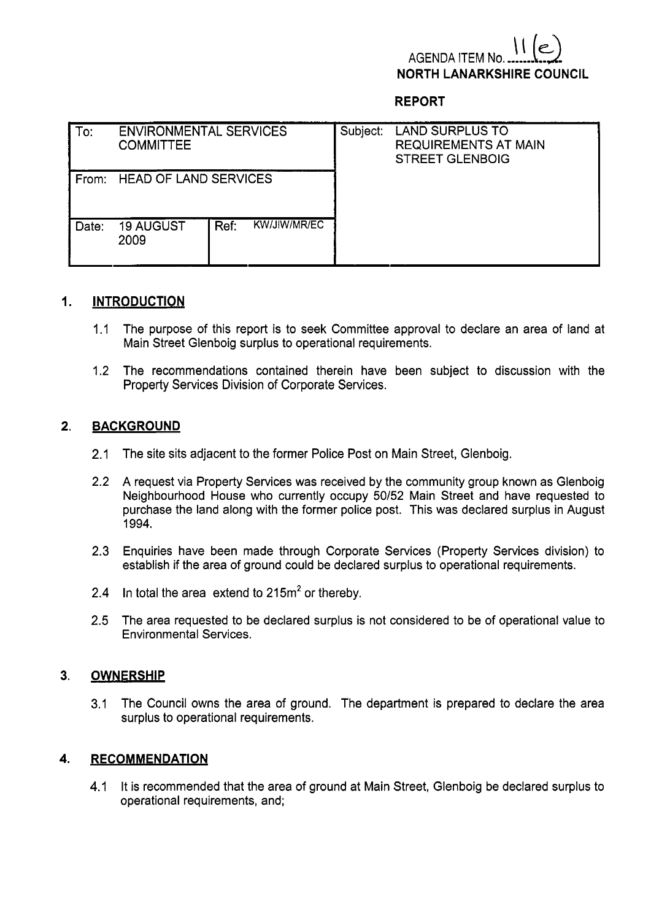# **AGENDA ITEM I NORTH LANARKSHIRE COUNCIL**

# **REPORT**

| l To:    | <b>ENVIRONMENTAL SERVICES</b><br><b>COMMITTEE</b> |      |              | Subject: | <b>LAND SURPLUS TO</b><br><b>REQUIREMENTS AT MAIN</b><br><b>STREET GLENBOIG</b> |
|----------|---------------------------------------------------|------|--------------|----------|---------------------------------------------------------------------------------|
| ⊦From: ⊦ | <b>HEAD OF LAND SERVICES</b>                      |      |              |          |                                                                                 |
| Date:    | <b>19 AUGUST</b><br>2009                          | Ref: | KW/JIW/MR/EC |          |                                                                                 |

## **1. INTRODUCTION**

- 1.1 The purpose of this report is to seek Committee approval to declare an area of land at Main Street Glenboig surplus to operational requirements.
- 1.2 The recommendations contained therein have been subject to discussion with the Property Services Division of Corporate Services.

# **2. BACKGROUND**

- 2.1 The site sits adjacent to the former Police Post on Main Street, Glenboig.
- 2.2 A request via Property Services was received by the community group known as Glenboig Neighbourhood House who currently occupy 50152 Main Street and have requested to purchase the land along with the former police post. This was declared surplus in August 1994.
- 2.3 Enquiries have been made through Corporate Services (Property Services division) to establish if the area of ground could be declared surplus to operational requirements.
- 2.4 In total the area extend to  $215m^2$  or thereby.
- **2.5** The area requested to be declared surplus is not considered to be of operational value to Environmental Services.

## **3. OWNERSHIP**

3.1 The Council owns the area of ground. The department is prepared to declare the area surplus to operational requirements.

## **4. RECOMMENDATION**

4.1 It is recommended that the area of ground at Main Street, Glenboig be declared surplus to operational requirements, and;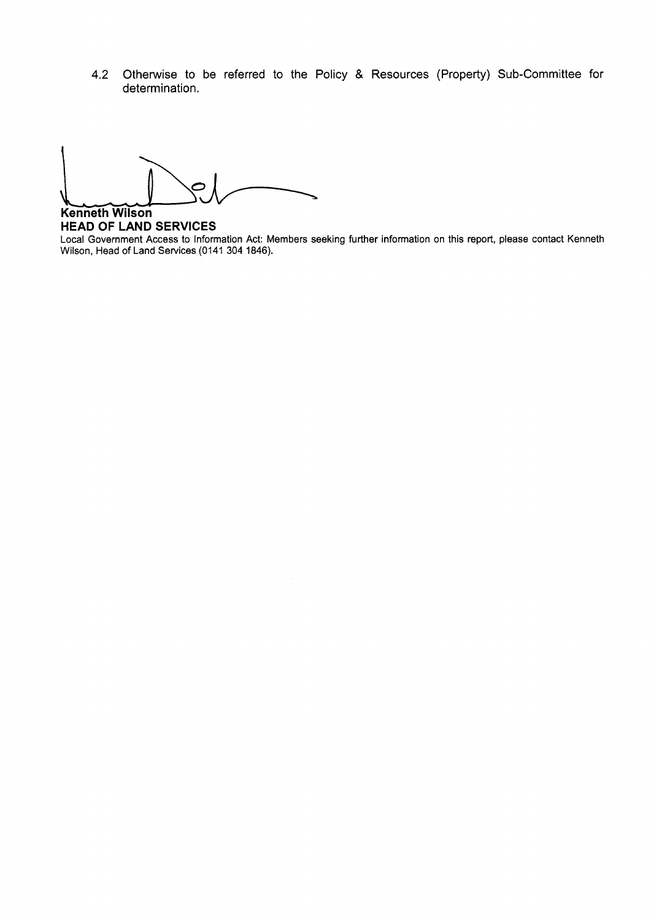**4.2** Otherwise to be referred to the Policy & Resources (Property) Sub-Committee for determination.

**Kenneth Wilson** 

**HEAD OF LAND SERVICES**  Local Government Access to Information Act: Members seeking further information on this report, please contact Kenneth Wilson, Head of Land Services (0141 304 1846).